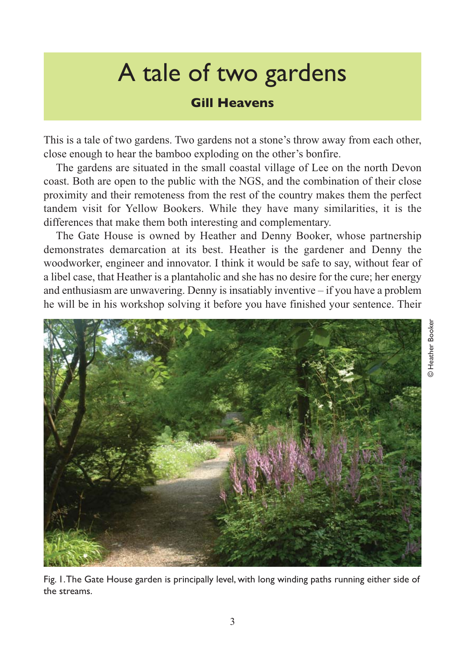## A tale of two gardens

## **Gill Heavens**

This is a tale of two gardens. Two gardens not a stone's throw away from each other, close enough to hear the bamboo exploding on the other's bonfire.

The gardens are situated in the small coastal village of Lee on the north Devon coast. Both are open to the public with the NGS, and the combination of their close proximity and their remoteness from the rest of the country makes them the perfect tandem visit for Yellow Bookers. While they have many similarities, it is the differences that make them both interesting and complementary.

The Gate House is owned by Heather and Denny Booker, whose partnership demonstrates demarcation at its best. Heather is the gardener and Denny the woodworker, engineer and innovator. I think it would be safe to say, without fear of a libel case, that Heather is a plantaholic and she has no desire for the cure; her energy and enthusiasm are unwavering. Denny is insatiably inventive – if you have a problem he will be in his workshop solving it before you have finished your sentence. Their



Fig. 1. The Gate House garden is principally level, with long winding paths running either side of the streams.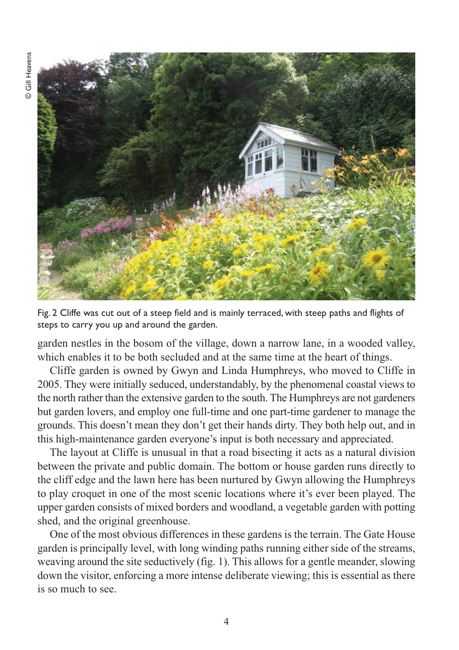

Fig. 2 Cliffe was cut out of a steep field and is mainly terraced, with steep paths and flights of steps to carry you up and around the garden.

garden nestles in the bosom of the village, down a narrow lane, in a wooded valley, which enables it to be both secluded and at the same time at the heart of things.

Cliffe garden is owned by Gwyn and Linda Humphreys, who moved to Cliffe in 2005. They were initially seduced, understandably, by the phenomenal coastal views to the north rather than the extensive garden to the south. The Humphreys are not gardeners but garden lovers, and employ one full-time and one part-time gardener to manage the grounds. This doesn't mean they don't get their hands dirty. They both help out, and in this high-maintenance garden everyone's input is both necessary and appreciated.

The layout at Cliffe is unusual in that a road bisecting it acts as a natural division between the private and public domain. The bottom or house garden runs directly to the cliff edge and the lawn here has been nurtured by Gwyn allowing the Humphreys to play croquet in one of the most scenic locations where it's ever been played. The upper garden consists of mixed borders and woodland, a vegetable garden with potting shed, and the original greenhouse.

One of the most obvious differences in these gardens is the terrain. The Gate House garden is principally level, with long winding paths running either side of the streams, weaving around the site seductively (fig. 1). This allows for a gentle meander, slowing down the visitor, enforcing a more intense deliberate viewing; this is essential as there is so much to see.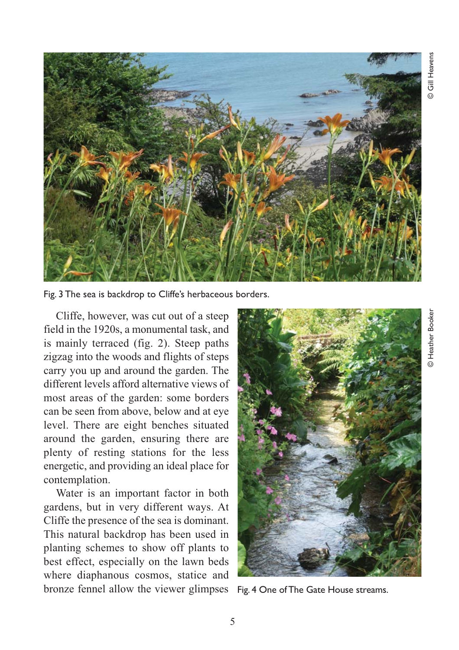

Fig. 3 The sea is backdrop to Cliffe's herbaceous borders.

Cliffe, however, was cut out of a steep field in the 1920s, a monumental task, and is mainly terraced (fig. 2). Steep paths zigzag into the woods and flights of steps carry you up and around the garden. The different levels afford alternative views of most areas of the garden: some borders can be seen from above, below and at eye level. There are eight benches situated around the garden, ensuring there are plenty of resting stations for the less energetic, and providing an ideal place for contemplation.

Water is an important factor in both gardens, but in very different ways. At Cliffe the presence of the sea is dominant. This natural backdrop has been used in planting schemes to show off plants to best effect, especially on the lawn beds where diaphanous cosmos, statice and bronze fennel allow the viewer glimpses Fig. 4 One of The Gate House streams.

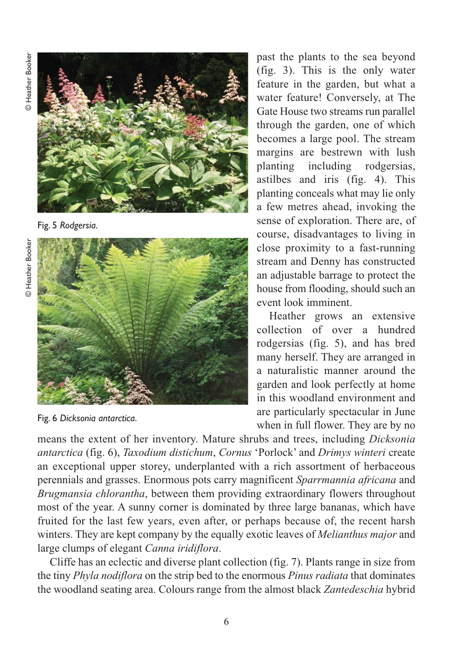**D** Heather Booker © Heather Booker



Fig. 5 *Rodgersia*.



Fig. 6 *Dicksonia antarctica*.

past the plants to the sea beyond (fig. 3). This is the only water feature in the garden, but what a water feature! Conversely, at The Gate House two streams run parallel through the garden, one of which becomes a large pool. The stream margins are bestrewn with lush planting including rodgersias, astilbes and iris (fig. 4). This planting conceals what may lie only a few metres ahead, invoking the sense of exploration. There are, of course, disadvantages to living in close proximity to a fast-running stream and Denny has constructed an adjustable barrage to protect the house from flooding, should such an event look imminent.

Heather grows an extensive collection of over a hundred rodgersias (fig. 5), and has bred many herself. They are arranged in a naturalistic manner around the garden and look perfectly at home in this woodland environment and are particularly spectacular in June when in full flower. They are by no

means the extent of her inventory. Mature shrubs and trees, including *Dicksonia antarctica* (fig. 6), *Taxodium distichum*, *Cornus* 'Porlock' and *Drimys winteri* create an exceptional upper storey, underplanted with a rich assortment of herbaceous perennials and grasses. Enormous pots carry magnificent *Sparrmannia africana* and *Brugmansia chlorantha*, between them providing extraordinary flowers throughout most of the year. A sunny corner is dominated by three large bananas, which have fruited for the last few years, even after, or perhaps because of, the recent harsh winters. They are kept company by the equally exotic leaves of *Melianthus major* and large clumps of elegant *Canna iridiflora*.

Cliffe has an eclectic and diverse plant collection (fig. 7). Plants range in size from the tiny *Phyla nodiflora* on the strip bed to the enormous *Pinus radiata* that dominates the woodland seating area. Colours range from the almost black *Zantedeschia* hybrid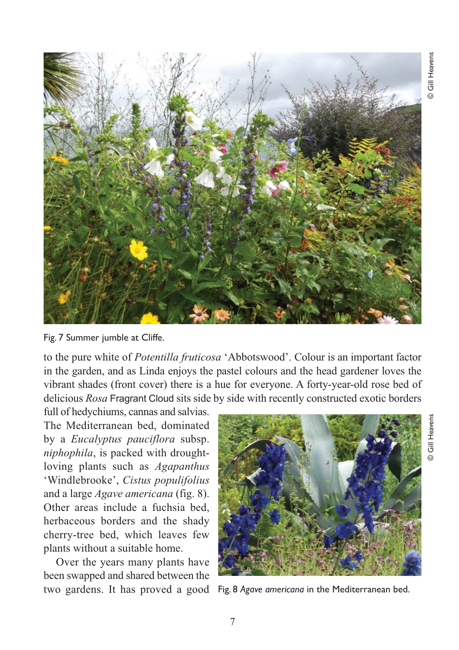

Fig. 7 Summer jumble at Cliffe.

to the pure white of *Potentilla fruticosa* 'Abbotswood'. Colour is an important factor in the garden, and as Linda enjoys the pastel colours and the head gardener loves the vibrant shades (front cover) there is a hue for everyone. A forty-year-old rose bed of delicious *Rosa* Fragrant Cloud sits side by side with recently constructed exotic borders

full of hedychiums, cannas and salvias. The Mediterranean bed, dominated by a *Eucalyptus pauciflora* subsp. *niphophila*, is packed with droughtloving plants such as *Agapanthus* 'Windlebrooke', *Cistus populifolius* and a large *Agave americana* (fig. 8). Other areas include a fuchsia bed, herbaceous borders and the shady cherry-tree bed, which leaves few plants without a suitable home.

Over the years many plants have been swapped and shared between the



two gardens. It has proved a good Fig. 8 *Agave americana* in the Mediterranean bed.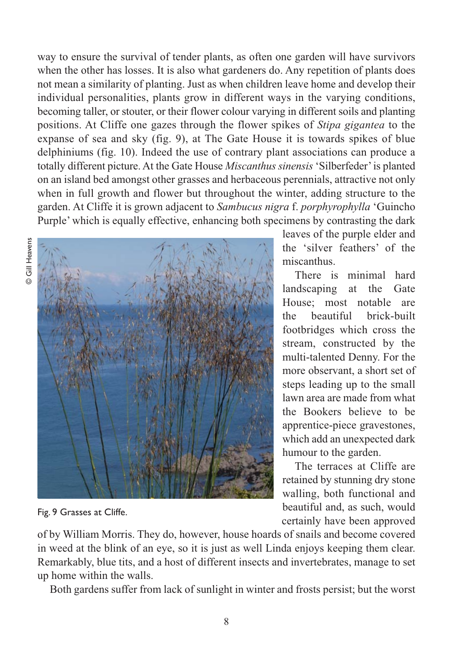way to ensure the survival of tender plants, as often one garden will have survivors when the other has losses. It is also what gardeners do. Any repetition of plants does not mean a similarity of planting. Just as when children leave home and develop their individual personalities, plants grow in different ways in the varying conditions, becoming taller, or stouter, or their flower colour varying in different soils and planting positions. At Cliffe one gazes through the flower spikes of *Stipa gigantea* to the expanse of sea and sky (fig. 9), at The Gate House it is towards spikes of blue delphiniums (fig. 10). Indeed the use of contrary plant associations can produce a totally different picture. At the Gate House *Miscanthus sinensis* 'Silberfeder' is planted on an island bed amongst other grasses and herbaceous perennials, attractive not only when in full growth and flower but throughout the winter, adding structure to the garden. At Cliffe it is grown adjacent to *Sambucus nigra* f. *porphyrophylla* 'Guincho Purple' which is equally effective, enhancing both specimens by contrasting the dark



Fig. 9 Grasses at Cliffe.

leaves of the purple elder and the 'silver feathers' of the miscanthus.

There is minimal hard landscaping at the Gate House; most notable are the beautiful brick-built footbridges which cross the stream, constructed by the multi-talented Denny. For the more observant, a short set of steps leading up to the small lawn area are made from what the Bookers believe to be apprentice-piece gravestones, which add an unexpected dark humour to the garden.

The terraces at Cliffe are retained by stunning dry stone walling, both functional and beautiful and, as such, would certainly have been approved

of by William Morris. They do, however, house hoards of snails and become covered in weed at the blink of an eye, so it is just as well Linda enjoys keeping them clear. Remarkably, blue tits, and a host of different insects and invertebrates, manage to set up home within the walls.

Both gardens suffer from lack of sunlight in winter and frosts persist; but the worst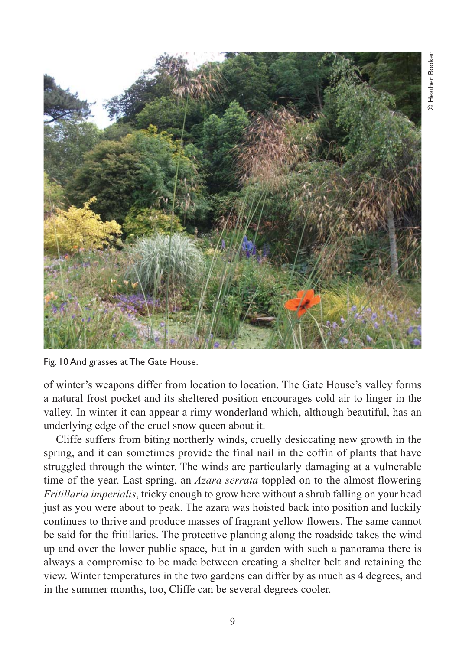

Fig. 10 And grasses at The Gate House.

of winter's weapons differ from location to location. The Gate House's valley forms a natural frost pocket and its sheltered position encourages cold air to linger in the valley. In winter it can appear a rimy wonderland which, although beautiful, has an underlying edge of the cruel snow queen about it.

Cliffe suffers from biting northerly winds, cruelly desiccating new growth in the spring, and it can sometimes provide the final nail in the coffin of plants that have struggled through the winter. The winds are particularly damaging at a vulnerable time of the year. Last spring, an *Azara serrata* toppled on to the almost flowering *Fritillaria imperialis*, tricky enough to grow here without a shrub falling on your head just as you were about to peak. The azara was hoisted back into position and luckily continues to thrive and produce masses of fragrant yellow flowers. The same cannot be said for the fritillaries. The protective planting along the roadside takes the wind up and over the lower public space, but in a garden with such a panorama there is always a compromise to be made between creating a shelter belt and retaining the view. Winter temperatures in the two gardens can differ by as much as 4 degrees, and in the summer months, too, Cliffe can be several degrees cooler.